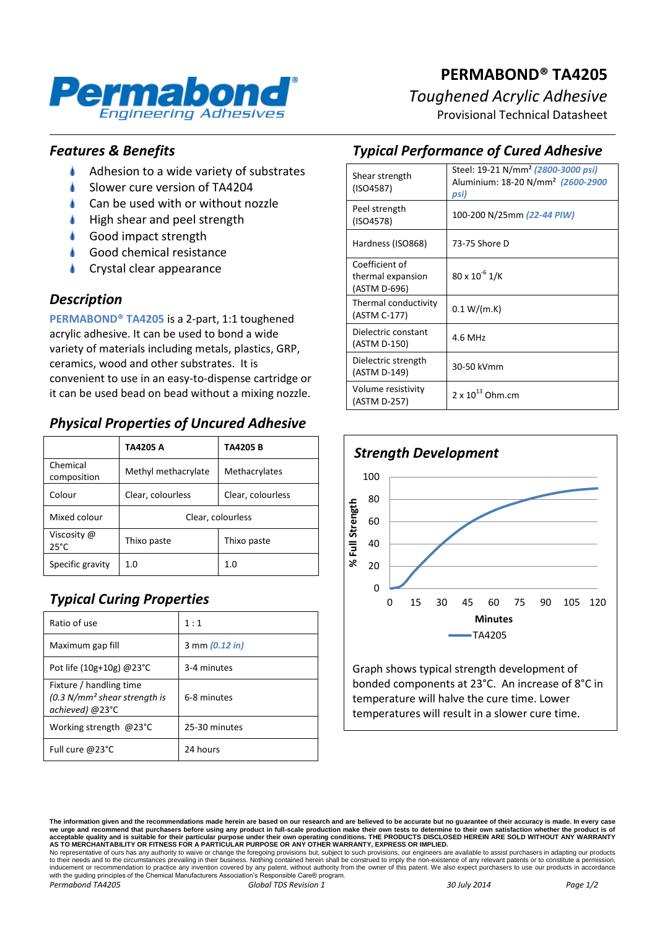

# **PERMABOND® TA4205** *Toughened Acrylic Adhesive*

Provisional Technical Datasheet

#### *Features & Benefits*

- ۸ Adhesion to a wide variety of substrates
- Slower cure version of TA4204
- Can be used with or without nozzle
- High shear and peel strength
- Good impact strength
- Good chemical resistance
- Crystal clear appearance

#### *Description*

**PERMABOND® TA4205** is a 2-part, 1:1 toughened acrylic adhesive. It can be used to bond a wide variety of materials including metals, plastics, GRP, ceramics, wood and other substrates. It is convenient to use in an easy-to-dispense cartridge or it can be used bead on bead without a mixing nozzle.

### *Physical Properties of Uncured Adhesive*

|                               | TA4205 A            | <b>TA4205 B</b>   |
|-------------------------------|---------------------|-------------------|
| Chemical<br>composition       | Methyl methacrylate | Methacrylates     |
| Colour                        | Clear, colourless   | Clear, colourless |
| Mixed colour                  | Clear, colourless   |                   |
| Viscosity @<br>$25^{\circ}$ C | Thixo paste         | Thixo paste       |
| Specific gravity              | 1.0                 | 1.0               |

# *Typical Curing Properties*

| Ratio of use                                                                 | 1:1            |
|------------------------------------------------------------------------------|----------------|
| Maximum gap fill                                                             | 3 mm (0.12 in) |
| Pot life $(10g+10g)$ @ 23 $^{\circ}$ C                                       | 3-4 minutes    |
| Fixture / handling time<br>$(0.3 N/mm2 shear strength is$<br>achieved) @23°C | 6-8 minutes    |
| Working strength @23°C                                                       | 25-30 minutes  |
| Full cure @23°C                                                              | 24 hours       |

# *Typical Performance of Cured Adhesive*

| Shear strength<br>(ISO4587)                         | Steel: 19-21 N/mm <sup>2</sup> (2800-3000 psi)<br>Aluminium: 18-20 N/mm <sup>2</sup> (2600-2900<br>psi) |
|-----------------------------------------------------|---------------------------------------------------------------------------------------------------------|
| Peel strength<br>(ISO4578)                          | 100-200 N/25mm (22-44 PIW)                                                                              |
| Hardness (ISO868)                                   | 73-75 Shore D                                                                                           |
| Coefficient of<br>thermal expansion<br>(ASTM D-696) | $80 \times 10^{-6}$ 1/K                                                                                 |
| Thermal conductivity<br>(ASTM C-177)                | 0.1 W/(m.K)                                                                                             |
| Dielectric constant<br>(ASTM D-150)                 | 4.6 MHz                                                                                                 |
| Dielectric strength<br>(ASTM D-149)                 | 30-50 kVmm                                                                                              |
| Volume resistivity<br>(ASTM D-257)                  | $2 \times 10^{13}$ Ohm.cm                                                                               |



Graph shows typical strength development of bonded components at 23°C. An increase of 8°C in temperature will halve the cure time. Lower temperatures will result in a slower cure time.

*Permabond TA4205 Global TDS Revision 1 30 July 2014 Page 1/2*

**The information given and the recommendations made herein are based on our research and are believed to be accurate but no guarantee of their accuracy is made. In every case**  we urge and recommend that purchasers before using any product in full-scale production make their own tests to determine to their own satisfaction whether the product is of<br>acceptable quality and is suitable for their par to their needs and to the circumstances prevailing in their business. Nothing contained herein shall be construed to imply the non-existence of any relevant patents or to constitute a permission, inducement or recommendation to practice any invention covered by any patent, without authority from the owner of this patent. We also expect purchasers to use our products in accordance<br>with the guiding principles of the